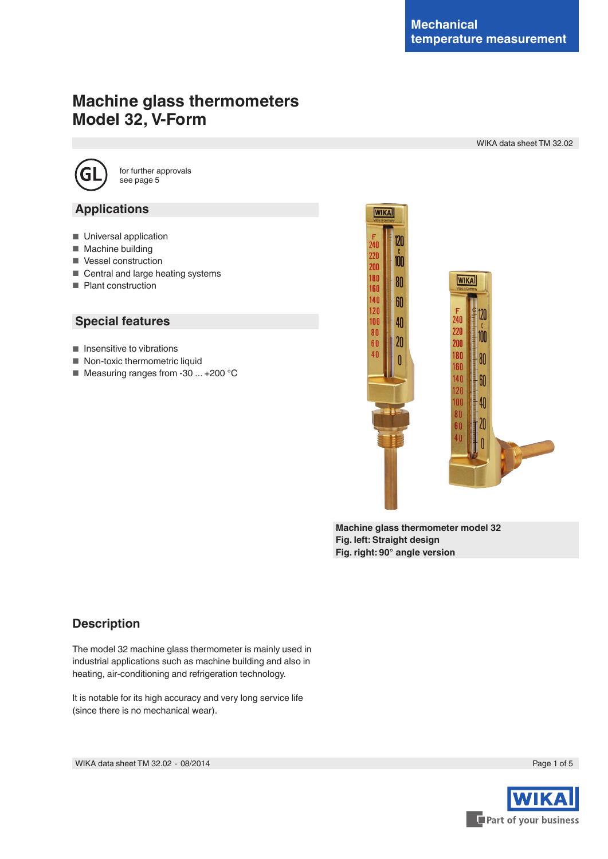# **Machine glass thermometers Model 32, V-Form**

WIKA data sheet TM 32.02



for further approvals see page 5

### **Applications**

- Universal application
- Machine building
- Vessel construction
- Central and large heating systems
- Plant construction

### **Special features**

- Insensitive to vibrations
- Non-toxic thermometric liquid
- Measuring ranges from -30 ... +200 °C



**Machine glass thermometer model 32 Fig. left: Straight design Fig. right: 90° angle version**

# **Description**

The model 32 machine glass thermometer is mainly used in industrial applications such as machine building and also in heating, air-conditioning and refrigeration technology.

It is notable for its high accuracy and very long service life (since there is no mechanical wear).

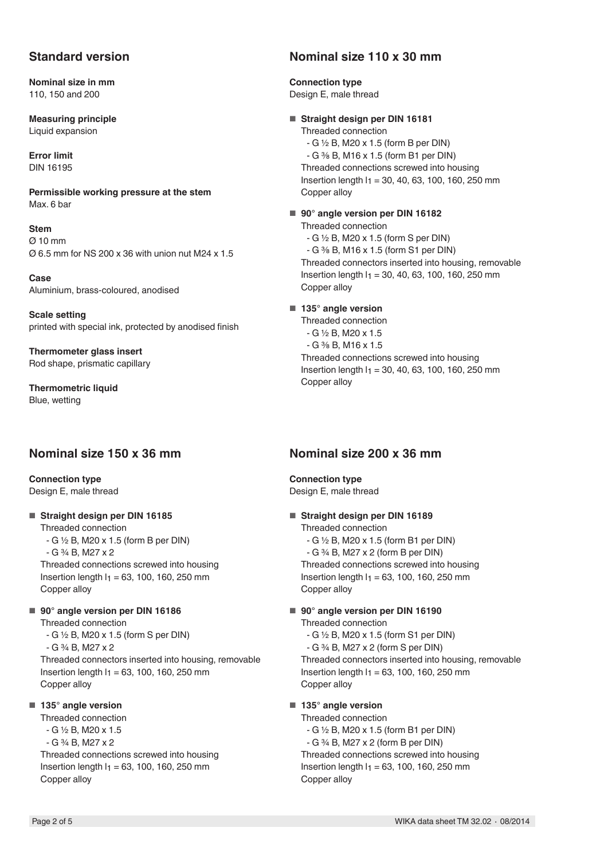### **Standard version**

**Nominal size in mm** 110, 150 and 200

**Measuring principle** Liquid expansion

**Error limit** DIN 16195

**Permissible working pressure at the stem** Max. 6 bar

**Stem** Ø 10 mm Ø 6.5 mm for NS 200 x 36 with union nut M24 x 1.5

**Case** Aluminium, brass-coloured, anodised

**Scale setting** printed with special ink, protected by anodised finish

**Thermometer glass insert** Rod shape, prismatic capillary

**Thermometric liquid** Blue, wetting

### **Nominal size 150 x 36 mm**

**Connection type** Design E, male thread

■ **Straight design per DIN 16185** 

Threaded connection - G ½ B, M20 x 1.5 (form B per DIN)

- G ¾ B, M27 x 2

Threaded connections screwed into housing Insertion length  $I_1 = 63$ , 100, 160, 250 mm Copper alloy

■ 90° angle version per DIN 16186 Threaded connection

- G ½ B, M20 x 1.5 (form S per DIN)

- G ¾ B, M27 x 2

Threaded connectors inserted into housing, removable Insertion length  $I_1 = 63$ , 100, 160, 250 mm Copper alloy

### ■ 135° angle version

Threaded connection - G ½ B, M20 x 1.5 - G ¾ B, M27 x 2 Threaded connections screwed into housing Insertion length  $I_1 = 63$ , 100, 160, 250 mm Copper alloy

### **Nominal size 110 x 30 mm**

**Connection type** Design E, male thread

■ **Straight design per DIN 16181** 

Threaded connection - G ½ B, M20 x 1.5 (form B per DIN) - G ⅜ B, M16 x 1.5 (form B1 per DIN) Threaded connections screwed into housing Insertion length  $I_1 = 30, 40, 63, 100, 160, 250$  mm Copper alloy

■ 90° angle version per DIN 16182 Threaded connection - G ½ B, M20 x 1.5 (form S per DIN) - G ⅜ B, M16 x 1.5 (form S1 per DIN) Threaded connectors inserted into housing, removable Insertion length  $I_1 = 30, 40, 63, 100, 160, 250$  mm Copper alloy

■ **135° angle version** 

Threaded connection - G ½ B, M20 x 1.5 - G ⅜ B, M16 x 1.5 Threaded connections screwed into housing Insertion length  $I_1 = 30, 40, 63, 100, 160, 250$  mm Copper alloy

### **Nominal size 200 x 36 mm**

**Connection type** Design E, male thread

■ **Straight design per DIN 16189** Threaded connection

- G ½ B, M20 x 1.5 (form B1 per DIN)

- G ¾ B, M27 x 2 (form B per DIN)

Threaded connections screwed into housing Insertion length  $I_1 = 63$ , 100, 160, 250 mm Copper alloy

■ 90° angle version per DIN 16190 Threaded connection - G ½ B, M20 x 1.5 (form S1 per DIN)

- G ¾ B, M27 x 2 (form S per DIN) Threaded connectors inserted into housing, removable Insertion length  $I_1 = 63$ , 100, 160, 250 mm Copper alloy

### ■ **135° angle version**

Threaded connection - G ½ B, M20 x 1.5 (form B1 per DIN) - G ¾ B, M27 x 2 (form B per DIN) Threaded connections screwed into housing Insertion length  $I_1 = 63$ , 100, 160, 250 mm Copper alloy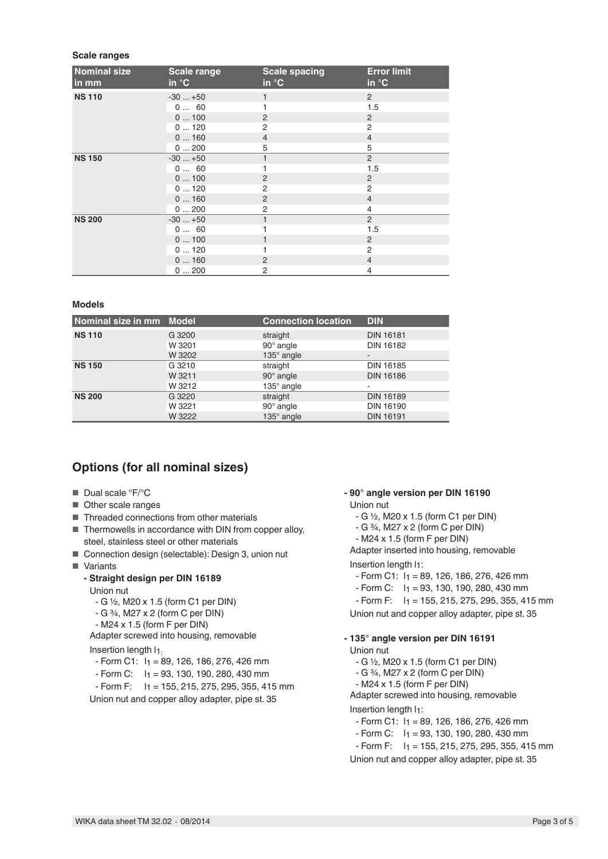#### **Scale ranges**

| <b>Nominal size</b><br>in mm | <b>Scale range</b><br>in $\mathrm{C}$ | <b>Scale spacing</b><br>in $\mathrm{C}$ | <b>Error limit</b><br>in $\mathrm{C}$ |
|------------------------------|---------------------------------------|-----------------------------------------|---------------------------------------|
| <b>NS 110</b>                | $-30+50$                              |                                         | $\overline{2}$                        |
|                              | 0 60                                  |                                         | 1.5                                   |
|                              | 0100                                  | $\overline{2}$                          | 2                                     |
|                              | 0120                                  | 2                                       | 2                                     |
|                              | 0160                                  | $\overline{4}$                          | $\overline{4}$                        |
|                              | 0200                                  | 5                                       | 5                                     |
| <b>NS 150</b>                | $-30+50$                              | 1                                       | $\overline{2}$                        |
|                              | 0 60                                  |                                         | 1.5                                   |
|                              | 0100                                  | 2                                       | 2                                     |
|                              | 0120                                  | 2                                       | 2                                     |
|                              | 0160                                  | $\overline{2}$                          | $\overline{4}$                        |
|                              | 0200                                  | 2                                       | $\overline{4}$                        |
| <b>NS 200</b>                | $-30+50$                              | 1                                       | 2                                     |
|                              | 0 60                                  |                                         | 1.5                                   |
|                              | 0100                                  |                                         | 2                                     |
|                              | 0120                                  |                                         | 2                                     |
|                              | 0160                                  | $\overline{2}$                          | $\overline{4}$                        |
|                              | 0200                                  | 2                                       | $\overline{4}$                        |

#### **Models**

| Nominal size in mm Model |        | <b>Connection location</b> | <b>DIN</b>       |  |
|--------------------------|--------|----------------------------|------------------|--|
| <b>NS 110</b>            | G 3200 | straight                   | <b>DIN 16181</b> |  |
|                          | W 3201 | $90^\circ$ angle           | <b>DIN 16182</b> |  |
|                          | W 3202 | 135° angle                 | ۰                |  |
| <b>NS 150</b>            | G 3210 | straight                   | <b>DIN 16185</b> |  |
|                          | W 3211 | $90^\circ$ angle           | <b>DIN 16186</b> |  |
|                          | W 3212 | $135^\circ$ angle          |                  |  |
| <b>NS 200</b>            | G 3220 | straight                   | <b>DIN 16189</b> |  |
|                          | W 3221 | $90^\circ$ angle           | <b>DIN 16190</b> |  |
|                          | W 3222 | 135° angle                 | <b>DIN 16191</b> |  |

# **Options (for all nominal sizes)**

- Dual scale °F/°C
- Other scale ranges
- Threaded connections from other materials
- Thermowells in accordance with DIN from copper alloy, steel, stainless steel or other materials
- Connection design (selectable): Design 3, union nut
- Variants

### **- Straight design per DIN 16189**

Union nut

- G ½, M20 x 1.5 (form C1 per DIN)
- G ¾, M27 x 2 (form C per DIN)
- M24 x 1.5 (form F per DIN)

Adapter screwed into housing, removable

Insertion length  $11$ .

- $-$  Form C1:  $I_1 = 89, 126, 186, 276, 426$  mm
- Form C: l1 = 93, 130, 190, 280, 430 mm
- $-Form F: I<sub>1</sub> = 155, 215, 275, 295, 355, 415 mm$

Union nut and copper alloy adapter, pipe st. 35

#### **- 90° angle version per DIN 16190** Union nut

- G ½, M20 x 1.5 (form C1 per DIN)
- G ¾, M27 x 2 (form C per DIN)
- M24 x 1.5 (form F per DIN)

Adapter inserted into housing, removable

#### Insertion length  $I_1$ :

- $-$  Form C1:  $I_1 = 89, 126, 186, 276, 426$  mm
- $-$  Form C:  $1_1 = 93, 130, 190, 280, 430$  mm
- $-Form F: 1<sub>1</sub> = 155, 215, 275, 295, 355, 415 mm$

Union nut and copper alloy adapter, pipe st. 35

#### **- 135° angle version per DIN 16191**

Union nut

- G ½, M20 x 1.5 (form C1 per DIN)
- G ¾, M27 x 2 (form C per DIN)

- M24 x 1.5 (form F per DIN)

Adapter screwed into housing, removable

#### Insertion length  $I_1$ :

- $-$  Form C1:  $1_1 = 89, 126, 186, 276, 426$  mm
- Form C: l1 = 93, 130, 190, 280, 430 mm
- $-Form F: 1<sub>1</sub> = 155, 215, 275, 295, 355, 415 mm$

Union nut and copper alloy adapter, pipe st. 35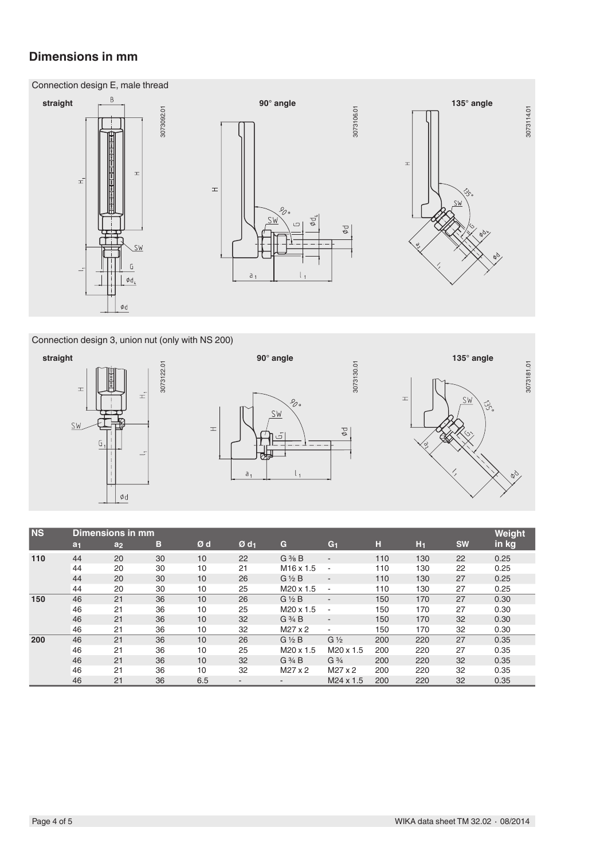# **Dimensions in mm**





Connection design 3, union nut (only with NS 200)







| N <sub>S</sub> | Dimensions in mm |                |    |     |                    |                          |                          |     | Weight |           |       |
|----------------|------------------|----------------|----|-----|--------------------|--------------------------|--------------------------|-----|--------|-----------|-------|
|                | a <sub>1</sub>   | a <sub>2</sub> | в  | Ød  | $Ø$ d <sub>1</sub> | G                        | G <sub>1</sub>           | н   | $H_1$  | <b>SW</b> | in kg |
| 110            | 44               | 20             | 30 | 10  | 22                 | $G \frac{3}{8} B$        | $\blacksquare$           | 110 | 130    | 22        | 0.25  |
|                | 44               | 20             | 30 | 10  | 21                 | $M16 \times 1.5$         | $\overline{a}$           | 110 | 130    | 22        | 0.25  |
|                | 44               | 20             | 30 | 10  | 26                 | $G\frac{1}{2}B$          | $\overline{\phantom{a}}$ | 110 | 130    | 27        | 0.25  |
|                | 44               | 20             | 30 | 10  | 25                 | M <sub>20</sub> x 1.5    | $\blacksquare$           | 110 | 130    | 27        | 0.25  |
| 150            | 46               | 21             | 36 | 10  | 26                 | $G\frac{1}{2}B$          | $\overline{\phantom{a}}$ | 150 | 170    | 27        | 0.30  |
|                | 46               | 21             | 36 | 10  | 25                 | M20 x 1.5                | $\overline{\phantom{a}}$ | 150 | 170    | 27        | 0.30  |
|                | 46               | 21             | 36 | 10  | 32                 | $G\frac{3}{4}B$          | $\overline{\phantom{a}}$ | 150 | 170    | 32        | 0.30  |
|                | 46               | 21             | 36 | 10  | 32                 | $M27 \times 2$           | $\sim$                   | 150 | 170    | 32        | 0.30  |
| 200            | 46               | 21             | 36 | 10  | 26                 | $G\frac{1}{2}B$          | $G\frac{1}{2}$           | 200 | 220    | 27        | 0.35  |
|                | 46               | 21             | 36 | 10  | 25                 | $M20 \times 1.5$         | M20 x 1.5                | 200 | 220    | 27        | 0.35  |
|                | 46               | 21             | 36 | 10  | 32                 | $G \frac{3}{4} B$        | $G\frac{3}{4}$           | 200 | 220    | 32        | 0.35  |
|                | 46               | 21             | 36 | 10  | 32                 | $M27 \times 2$           | $M27 \times 2$           | 200 | 220    | 32        | 0.35  |
|                | 46               | 21             | 36 | 6.5 | -                  | $\overline{\phantom{a}}$ | M24 x 1.5                | 200 | 220    | 32        | 0.35  |